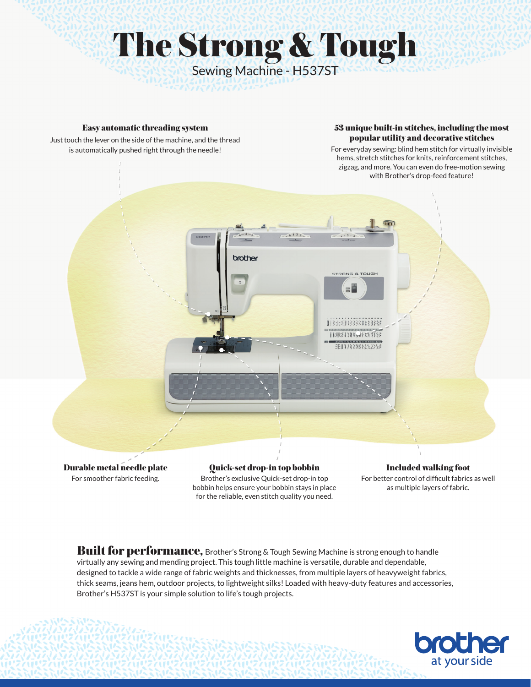# The Strong & Tough Sewing Machine - H537ST

#### Easy automatic threading system

Just touch the lever on the side of the machine, and the thread is automatically pushed right through the needle!

#### 53 unique built-in stitches, including the most popular utility and decorative stitches

For everyday sewing: blind hem stitch for virtually invisible hems, stretch stitches for knits, reinforcement stitches, zigzag, and more. You can even do free-motion sewing with Brother's drop-feed feature!



For smoother fabric feeding.

Quick-set drop-in top bobbin Brother's exclusive Quick-set drop-in top bobbin helps ensure your bobbin stays in place for the reliable, even stitch quality you need.

## Included walking foot

For better control of difficult fabrics as well as multiple layers of fabric.

Built for performance, Brother's Strong & Tough Sewing Machine is strong enough to handle virtually any sewing and mending project. This tough little machine is versatile, durable and dependable, designed to tackle a wide range of fabric weights and thicknesses, from multiple layers of heavyweight fabrics, thick seams, jeans hem, outdoor projects, to lightweight silks! Loaded with heavy-duty features and accessories, Brother's H537ST is your simple solution to life's tough projects.